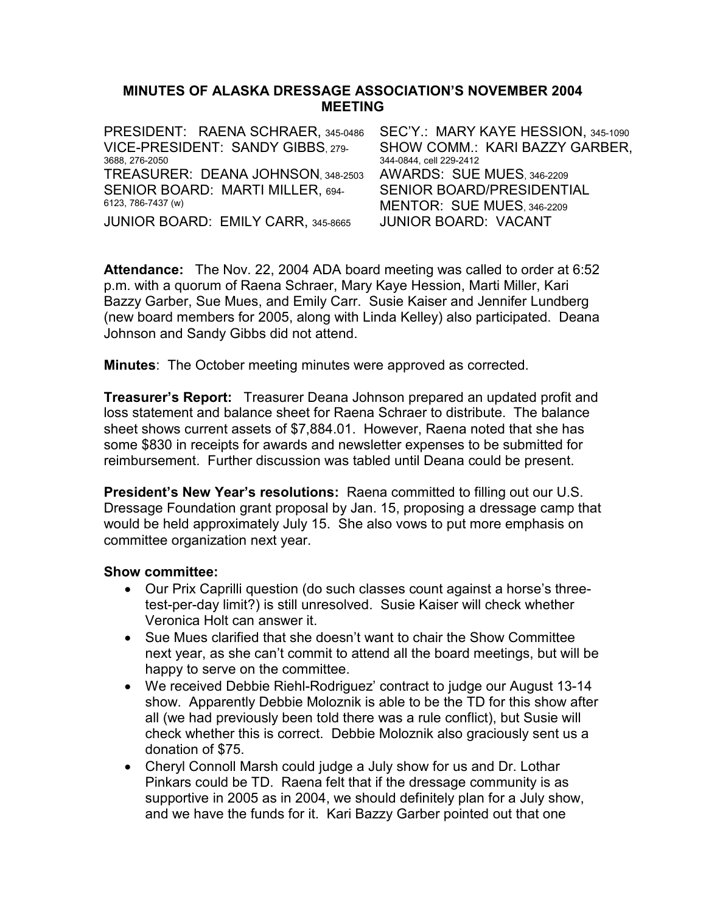### MINUTES OF ALASKA DRESSAGE ASSOCIATION'S NOVEMBER 2004 MEETING

| PRESIDENT: RAENA SCHRAER, 345-0486 | SEC'Y.: MARY KAYE HESSION, 345-1090 |
|------------------------------------|-------------------------------------|
| VICE-PRESIDENT: SANDY GIBBS. 279-  | SHOW COMM.: KARI BAZZY GARBER,      |
| 3688, 276-2050                     | 344-0844, cell 229-2412             |
| TREASURER: DEANA JOHNSON. 348-2503 | AWARDS: SUE MUES, 346-2209          |
| SENIOR BOARD: MARTI MILLER, 694-   | <b>SENIOR BOARD/PRESIDENTIAL</b>    |
| 6123, 786-7437 (w)                 | MENTOR: SUE MUES 346-2209           |
| JUNIOR BOARD: EMILY CARR, 345-8665 | <b>JUNIOR BOARD: VACANT</b>         |

Attendance: The Nov. 22, 2004 ADA board meeting was called to order at 6:52 p.m. with a quorum of Raena Schraer, Mary Kaye Hession, Marti Miller, Kari Bazzy Garber, Sue Mues, and Emily Carr. Susie Kaiser and Jennifer Lundberg (new board members for 2005, along with Linda Kelley) also participated. Deana Johnson and Sandy Gibbs did not attend.

**Minutes:** The October meeting minutes were approved as corrected.

Treasurer's Report: Treasurer Deana Johnson prepared an updated profit and loss statement and balance sheet for Raena Schraer to distribute. The balance sheet shows current assets of \$7,884.01. However, Raena noted that she has some \$830 in receipts for awards and newsletter expenses to be submitted for reimbursement. Further discussion was tabled until Deana could be present.

President's New Year's resolutions: Raena committed to filling out our U.S. Dressage Foundation grant proposal by Jan. 15, proposing a dressage camp that would be held approximately July 15. She also vows to put more emphasis on committee organization next year.

#### Show committee:

- Our Prix Caprilli question (do such classes count against a horse's threetest-per-day limit?) is still unresolved. Susie Kaiser will check whether Veronica Holt can answer it.
- Sue Mues clarified that she doesn't want to chair the Show Committee next year, as she can't commit to attend all the board meetings, but will be happy to serve on the committee.
- We received Debbie Riehl-Rodriguez' contract to judge our August 13-14 show. Apparently Debbie Moloznik is able to be the TD for this show after all (we had previously been told there was a rule conflict), but Susie will check whether this is correct. Debbie Moloznik also graciously sent us a donation of \$75.
- Cheryl Connoll Marsh could judge a July show for us and Dr. Lothar Pinkars could be TD. Raena felt that if the dressage community is as supportive in 2005 as in 2004, we should definitely plan for a July show, and we have the funds for it. Kari Bazzy Garber pointed out that one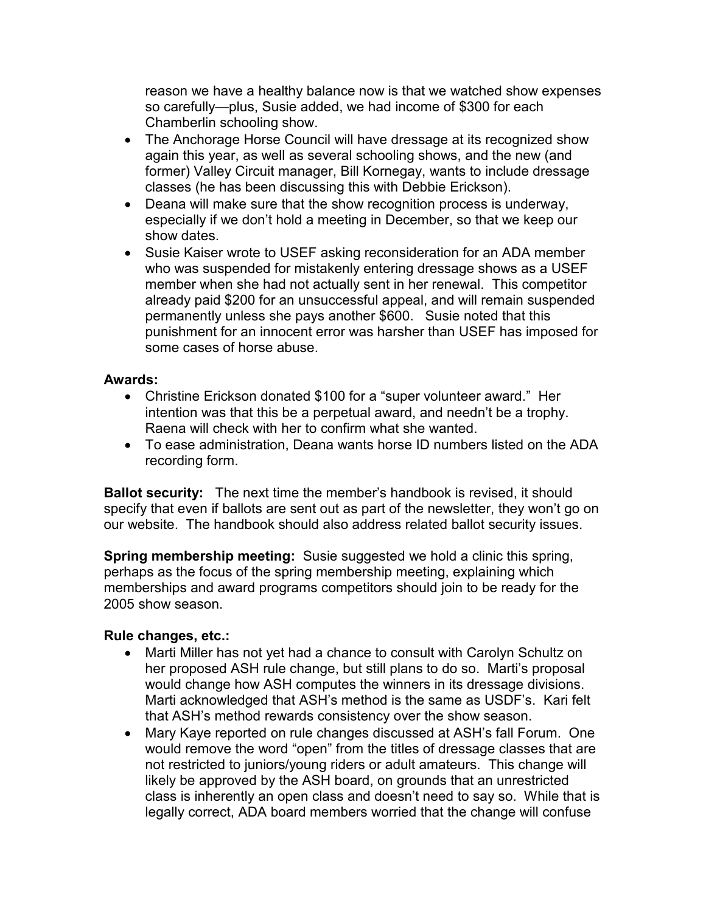reason we have a healthy balance now is that we watched show expenses so carefully—plus, Susie added, we had income of \$300 for each Chamberlin schooling show.

- The Anchorage Horse Council will have dressage at its recognized show again this year, as well as several schooling shows, and the new (and former) Valley Circuit manager, Bill Kornegay, wants to include dressage classes (he has been discussing this with Debbie Erickson).
- Deana will make sure that the show recognition process is underway, especially if we don't hold a meeting in December, so that we keep our show dates.
- Susie Kaiser wrote to USEF asking reconsideration for an ADA member who was suspended for mistakenly entering dressage shows as a USEF member when she had not actually sent in her renewal. This competitor already paid \$200 for an unsuccessful appeal, and will remain suspended permanently unless she pays another \$600. Susie noted that this punishment for an innocent error was harsher than USEF has imposed for some cases of horse abuse.

# Awards:

- Christine Erickson donated \$100 for a "super volunteer award." Her intention was that this be a perpetual award, and needn't be a trophy. Raena will check with her to confirm what she wanted.
- To ease administration, Deana wants horse ID numbers listed on the ADA recording form.

**Ballot security:** The next time the member's handbook is revised, it should specify that even if ballots are sent out as part of the newsletter, they won't go on our website. The handbook should also address related ballot security issues.

**Spring membership meeting:** Susie suggested we hold a clinic this spring, perhaps as the focus of the spring membership meeting, explaining which memberships and award programs competitors should join to be ready for the 2005 show season.

# Rule changes, etc.:

- Marti Miller has not yet had a chance to consult with Carolyn Schultz on her proposed ASH rule change, but still plans to do so. Marti's proposal would change how ASH computes the winners in its dressage divisions. Marti acknowledged that ASH's method is the same as USDF's. Kari felt that ASH's method rewards consistency over the show season.
- Mary Kaye reported on rule changes discussed at ASH's fall Forum. One would remove the word "open" from the titles of dressage classes that are not restricted to juniors/young riders or adult amateurs. This change will likely be approved by the ASH board, on grounds that an unrestricted class is inherently an open class and doesn't need to say so. While that is legally correct, ADA board members worried that the change will confuse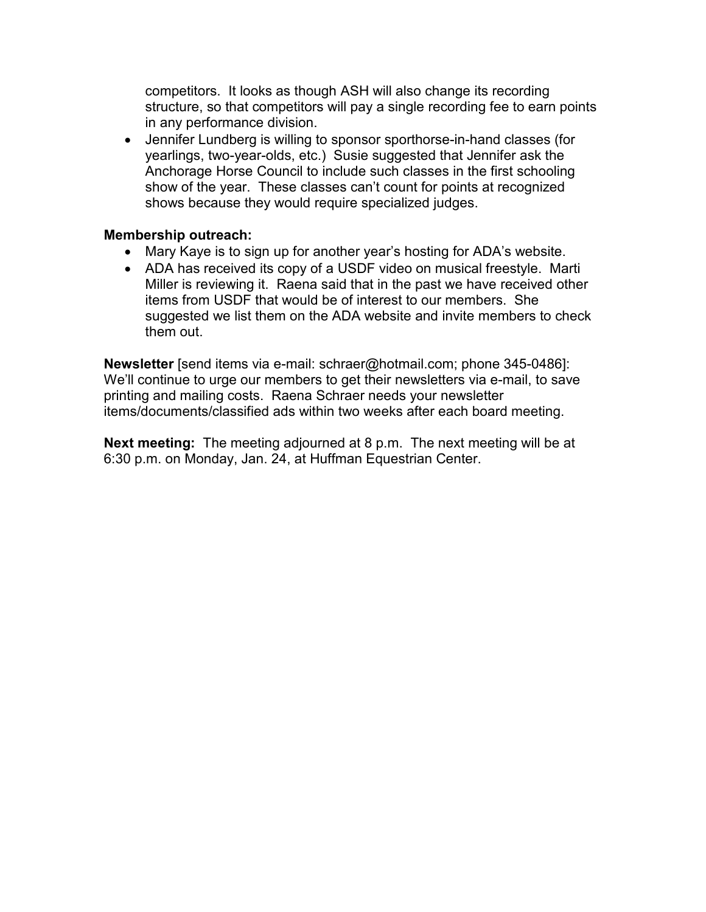competitors. It looks as though ASH will also change its recording structure, so that competitors will pay a single recording fee to earn points in any performance division.

• Jennifer Lundberg is willing to sponsor sporthorse-in-hand classes (for yearlings, two-year-olds, etc.) Susie suggested that Jennifer ask the Anchorage Horse Council to include such classes in the first schooling show of the year. These classes can't count for points at recognized shows because they would require specialized judges.

# Membership outreach:

- Mary Kaye is to sign up for another year's hosting for ADA's website.
- ADA has received its copy of a USDF video on musical freestyle. Marti Miller is reviewing it. Raena said that in the past we have received other items from USDF that would be of interest to our members. She suggested we list them on the ADA website and invite members to check them out.

Newsletter [send items via e-mail: schraer@hotmail.com; phone 345-0486]: We'll continue to urge our members to get their newsletters via e-mail, to save printing and mailing costs. Raena Schraer needs your newsletter items/documents/classified ads within two weeks after each board meeting.

Next meeting: The meeting adjourned at 8 p.m. The next meeting will be at 6:30 p.m. on Monday, Jan. 24, at Huffman Equestrian Center.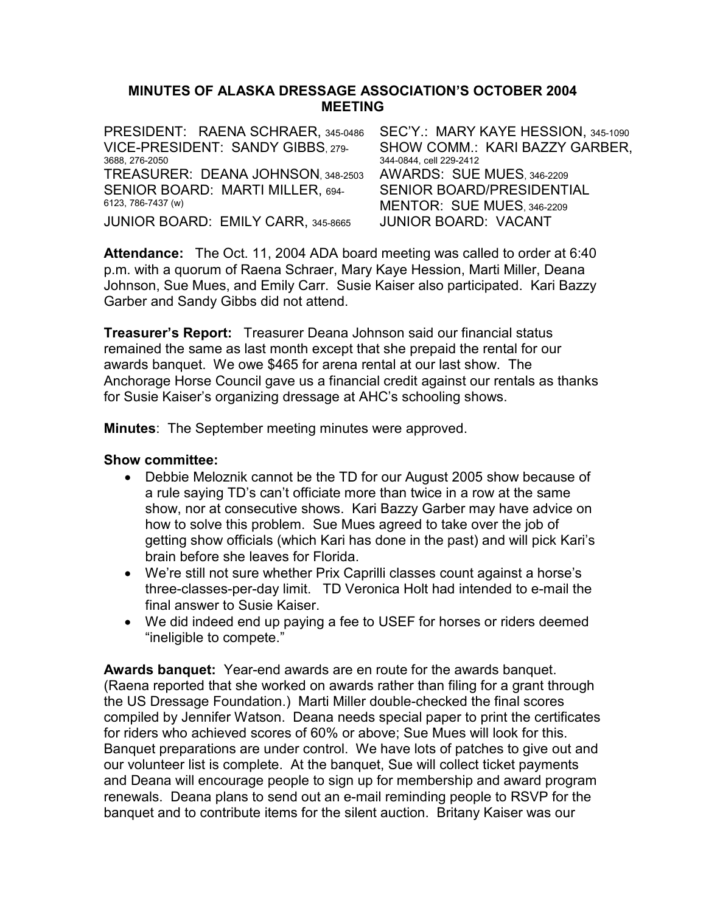### MINUTES OF ALASKA DRESSAGE ASSOCIATION'S OCTOBER 2004 MEETING

| PRESIDENT: RAENA SCHRAER, 345-0486        | SEC'Y.: MARY KAYE HESSION, 345-1090 |
|-------------------------------------------|-------------------------------------|
| VICE-PRESIDENT: SANDY GIBBS. 279-         | SHOW COMM.: KARI BAZZY GARBER,      |
| 3688.276-2050                             | 344-0844, cell 229-2412             |
| TREASURER: DEANA JOHNSON. 348-2503        | AWARDS: SUE MUES, 346-2209          |
| SENIOR BOARD: MARTI MILLER, 694-          | SENIOR BOARD/PRESIDENTIAL           |
| 6123, 786-7437 (w)                        | MENTOR: SUE MUES 346-2209           |
| <b>JUNIOR BOARD: EMILY CARR, 345-8665</b> | <b>JUNIOR BOARD: VACANT</b>         |

Attendance: The Oct. 11, 2004 ADA board meeting was called to order at 6:40 p.m. with a quorum of Raena Schraer, Mary Kaye Hession, Marti Miller, Deana Johnson, Sue Mues, and Emily Carr. Susie Kaiser also participated. Kari Bazzy Garber and Sandy Gibbs did not attend.

Treasurer's Report: Treasurer Deana Johnson said our financial status remained the same as last month except that she prepaid the rental for our awards banquet. We owe \$465 for arena rental at our last show. The Anchorage Horse Council gave us a financial credit against our rentals as thanks for Susie Kaiser's organizing dressage at AHC's schooling shows.

Minutes: The September meeting minutes were approved.

### Show committee:

- Debbie Meloznik cannot be the TD for our August 2005 show because of a rule saying TD's can't officiate more than twice in a row at the same show, nor at consecutive shows. Kari Bazzy Garber may have advice on how to solve this problem. Sue Mues agreed to take over the job of getting show officials (which Kari has done in the past) and will pick Kari's brain before she leaves for Florida.
- We're still not sure whether Prix Caprilli classes count against a horse's three-classes-per-day limit. TD Veronica Holt had intended to e-mail the final answer to Susie Kaiser.
- We did indeed end up paying a fee to USEF for horses or riders deemed "ineligible to compete."

Awards banquet: Year-end awards are en route for the awards banquet. (Raena reported that she worked on awards rather than filing for a grant through the US Dressage Foundation.) Marti Miller double-checked the final scores compiled by Jennifer Watson. Deana needs special paper to print the certificates for riders who achieved scores of 60% or above; Sue Mues will look for this. Banquet preparations are under control. We have lots of patches to give out and our volunteer list is complete. At the banquet, Sue will collect ticket payments and Deana will encourage people to sign up for membership and award program renewals. Deana plans to send out an e-mail reminding people to RSVP for the banquet and to contribute items for the silent auction. Britany Kaiser was our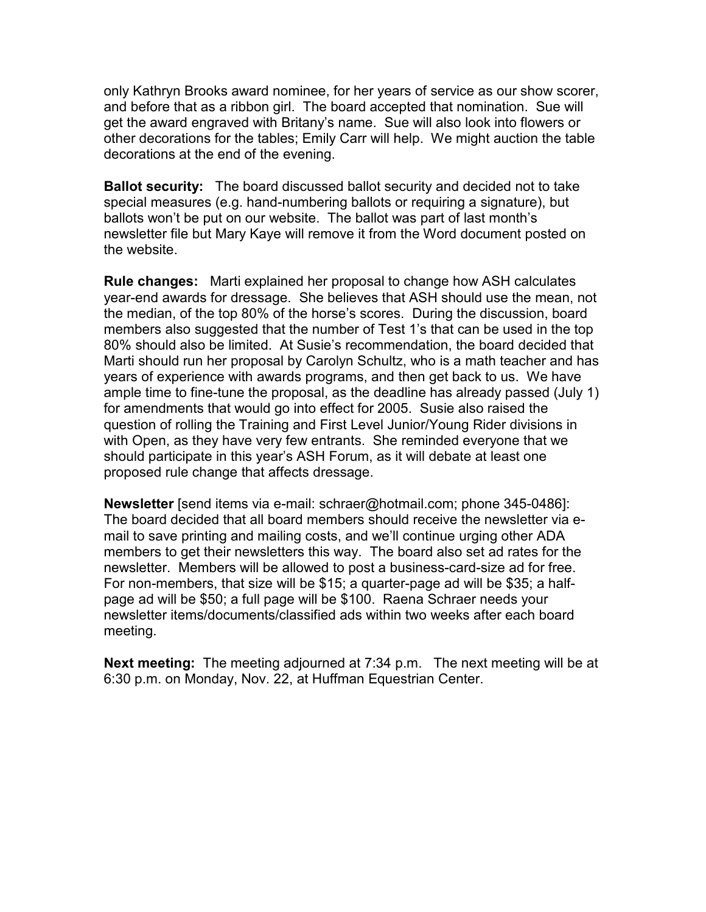only Kathryn Brooks award nominee, for her years of service as our show scorer, and before that as a ribbon girl. The board accepted that nomination. Sue will get the award engraved with Britany's name. Sue will also look into flowers or other decorations for the tables; Emily Carr will help. We might auction the table decorations at the end of the evening.

Ballot security: The board discussed ballot security and decided not to take special measures (e.g. hand-numbering ballots or requiring a signature), but ballots won't be put on our website. The ballot was part of last month's newsletter file but Mary Kaye will remove it from the Word document posted on the website.

Rule changes: Marti explained her proposal to change how ASH calculates year-end awards for dressage. She believes that ASH should use the mean, not the median, of the top 80% of the horse's scores. During the discussion, board members also suggested that the number of Test 1's that can be used in the top 80% should also be limited. At Susie's recommendation, the board decided that Marti should run her proposal by Carolyn Schultz, who is a math teacher and has years of experience with awards programs, and then get back to us. We have ample time to fine-tune the proposal, as the deadline has already passed (July 1) for amendments that would go into effect for 2005. Susie also raised the question of rolling the Training and First Level Junior/Young Rider divisions in with Open, as they have very few entrants. She reminded everyone that we should participate in this year's ASH Forum, as it will debate at least one proposed rule change that affects dressage.

Newsletter [send items via e-mail: schraer@hotmail.com; phone 345-0486]: The board decided that all board members should receive the newsletter via email to save printing and mailing costs, and we'll continue urging other ADA members to get their newsletters this way. The board also set ad rates for the newsletter. Members will be allowed to post a business-card-size ad for free. For non-members, that size will be \$15; a quarter-page ad will be \$35; a halfpage ad will be \$50; a full page will be \$100. Raena Schraer needs your newsletter items/documents/classified ads within two weeks after each board meeting.

Next meeting: The meeting adjourned at 7:34 p.m. The next meeting will be at 6:30 p.m. on Monday, Nov. 22, at Huffman Equestrian Center.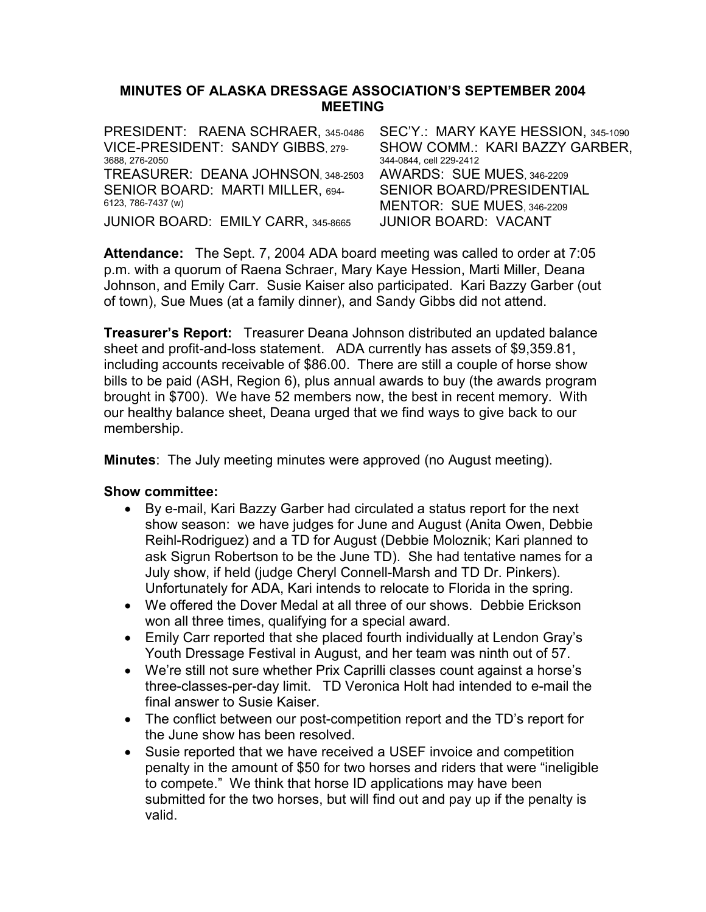### MINUTES OF ALASKA DRESSAGE ASSOCIATION'S SEPTEMBER 2004 MEETING

| PRESIDENT: RAENA SCHRAER, 345-0486 | SEC'Y.: MARY KAYE HESSION, 345-1090 |
|------------------------------------|-------------------------------------|
| VICE-PRESIDENT: SANDY GIBBS. 279-  | SHOW COMM.: KARI BAZZY GARBER,      |
| 3688.276-2050                      | 344-0844, cell 229-2412             |
| TREASURER: DEANA JOHNSON. 348-2503 | AWARDS: SUE MUES, 346-2209          |
| SENIOR BOARD: MARTI MILLER, 694-   | SENIOR BOARD/PRESIDENTIAL           |
| 6123, 786-7437 (w)                 | MENTOR: SUE MUES, 346-2209          |
| JUNIOR BOARD: EMILY CARR, 345-8665 | <b>JUNIOR BOARD: VACANT</b>         |

Attendance: The Sept. 7, 2004 ADA board meeting was called to order at 7:05 p.m. with a quorum of Raena Schraer, Mary Kaye Hession, Marti Miller, Deana Johnson, and Emily Carr. Susie Kaiser also participated. Kari Bazzy Garber (out of town), Sue Mues (at a family dinner), and Sandy Gibbs did not attend.

**Treasurer's Report:** Treasurer Deana Johnson distributed an updated balance sheet and profit-and-loss statement. ADA currently has assets of \$9,359.81, including accounts receivable of \$86.00. There are still a couple of horse show bills to be paid (ASH, Region 6), plus annual awards to buy (the awards program brought in \$700). We have 52 members now, the best in recent memory. With our healthy balance sheet, Deana urged that we find ways to give back to our membership.

Minutes: The July meeting minutes were approved (no August meeting).

# Show committee:

- By e-mail, Kari Bazzy Garber had circulated a status report for the next show season: we have judges for June and August (Anita Owen, Debbie Reihl-Rodriguez) and a TD for August (Debbie Moloznik; Kari planned to ask Sigrun Robertson to be the June TD). She had tentative names for a July show, if held (judge Cheryl Connell-Marsh and TD Dr. Pinkers). Unfortunately for ADA, Kari intends to relocate to Florida in the spring.
- We offered the Dover Medal at all three of our shows. Debbie Erickson won all three times, qualifying for a special award.
- Emily Carr reported that she placed fourth individually at Lendon Gray's Youth Dressage Festival in August, and her team was ninth out of 57.
- We're still not sure whether Prix Caprilli classes count against a horse's three-classes-per-day limit. TD Veronica Holt had intended to e-mail the final answer to Susie Kaiser.
- The conflict between our post-competition report and the TD's report for the June show has been resolved.
- Susie reported that we have received a USEF invoice and competition penalty in the amount of \$50 for two horses and riders that were "ineligible to compete." We think that horse ID applications may have been submitted for the two horses, but will find out and pay up if the penalty is valid.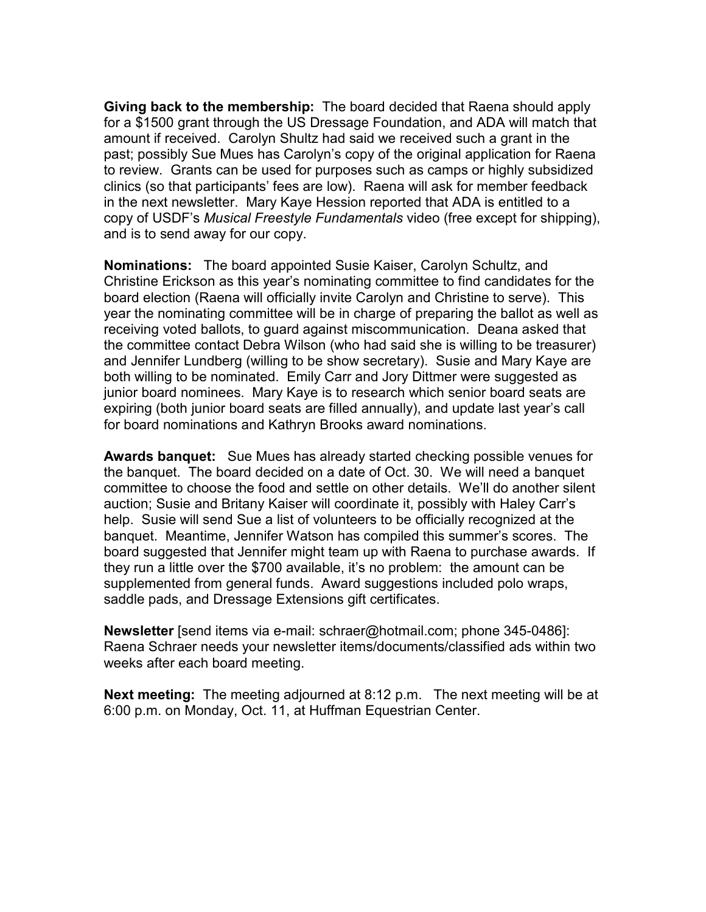Giving back to the membership: The board decided that Raena should apply for a \$1500 grant through the US Dressage Foundation, and ADA will match that amount if received. Carolyn Shultz had said we received such a grant in the past; possibly Sue Mues has Carolyn's copy of the original application for Raena to review. Grants can be used for purposes such as camps or highly subsidized clinics (so that participants' fees are low). Raena will ask for member feedback in the next newsletter. Mary Kaye Hession reported that ADA is entitled to a copy of USDF's Musical Freestyle Fundamentals video (free except for shipping), and is to send away for our copy.

Nominations: The board appointed Susie Kaiser, Carolyn Schultz, and Christine Erickson as this year's nominating committee to find candidates for the board election (Raena will officially invite Carolyn and Christine to serve). This year the nominating committee will be in charge of preparing the ballot as well as receiving voted ballots, to guard against miscommunication. Deana asked that the committee contact Debra Wilson (who had said she is willing to be treasurer) and Jennifer Lundberg (willing to be show secretary). Susie and Mary Kaye are both willing to be nominated. Emily Carr and Jory Dittmer were suggested as junior board nominees. Mary Kaye is to research which senior board seats are expiring (both junior board seats are filled annually), and update last year's call for board nominations and Kathryn Brooks award nominations.

Awards banquet: Sue Mues has already started checking possible venues for the banquet. The board decided on a date of Oct. 30. We will need a banquet committee to choose the food and settle on other details. We'll do another silent auction; Susie and Britany Kaiser will coordinate it, possibly with Haley Carr's help. Susie will send Sue a list of volunteers to be officially recognized at the banquet. Meantime, Jennifer Watson has compiled this summer's scores. The board suggested that Jennifer might team up with Raena to purchase awards. If they run a little over the \$700 available, it's no problem: the amount can be supplemented from general funds. Award suggestions included polo wraps, saddle pads, and Dressage Extensions gift certificates.

Newsletter [send items via e-mail: schraer@hotmail.com; phone 345-0486]: Raena Schraer needs your newsletter items/documents/classified ads within two weeks after each board meeting.

Next meeting: The meeting adjourned at 8:12 p.m. The next meeting will be at 6:00 p.m. on Monday, Oct. 11, at Huffman Equestrian Center.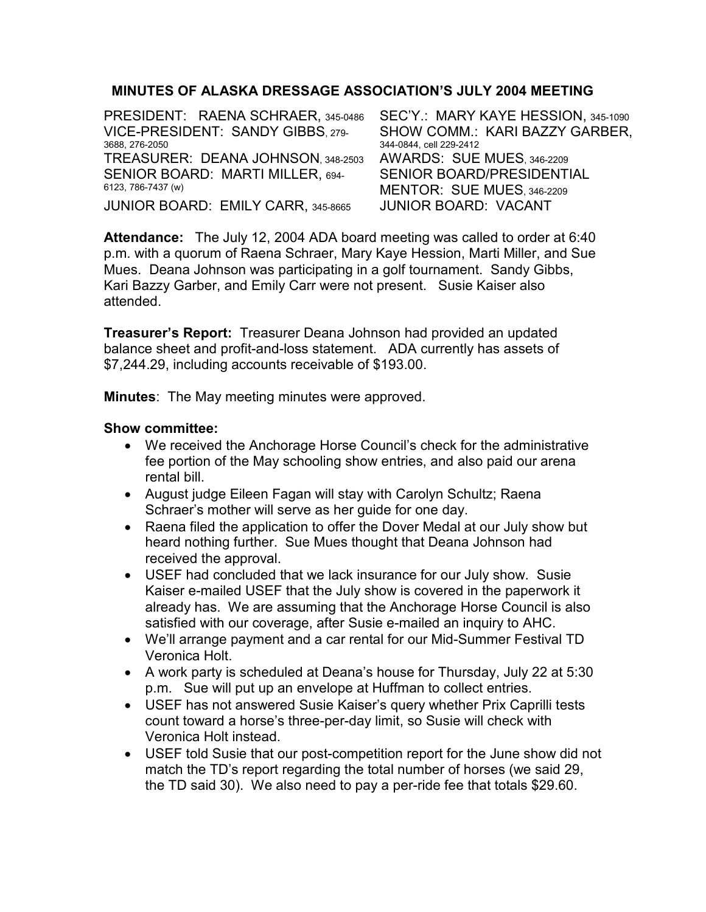# MINUTES OF ALASKA DRESSAGE ASSOCIATION'S JULY 2004 MEETING

PRESIDENT: RAENA SCHRAER, 345-0486 SEC'Y.: MARY KAYE HESSION, 345-1090 VICE-PRESIDENT: SANDY GIBBS, 279- 3688, 276-2050 SHOW COMM.: KARI BAZZY GARBER, 344-0844, cell 229-2412 TREASURER: DEANA JOHNSON, 348-2503 AWARDS: SUE MUES, 346-2209 SENIOR BOARD: MARTI MILLER, 694- 6123, 786-7437 (w) SENIOR BOARD/PRESIDENTIAL MENTOR: SUE MUES, 346-2209 JUNIOR BOARD: EMILY CARR, 345-8665 JUNIOR BOARD: VACANT

Attendance: The July 12, 2004 ADA board meeting was called to order at 6:40 p.m. with a quorum of Raena Schraer, Mary Kaye Hession, Marti Miller, and Sue Mues. Deana Johnson was participating in a golf tournament. Sandy Gibbs, Kari Bazzy Garber, and Emily Carr were not present. Susie Kaiser also attended.

**Treasurer's Report:** Treasurer Deana Johnson had provided an updated balance sheet and profit-and-loss statement. ADA currently has assets of \$7,244.29, including accounts receivable of \$193.00.

Minutes: The May meeting minutes were approved.

#### Show committee:

- We received the Anchorage Horse Council's check for the administrative fee portion of the May schooling show entries, and also paid our arena rental bill.
- August judge Eileen Fagan will stay with Carolyn Schultz; Raena Schraer's mother will serve as her guide for one day.
- Raena filed the application to offer the Dover Medal at our July show but heard nothing further. Sue Mues thought that Deana Johnson had received the approval.
- USEF had concluded that we lack insurance for our July show. Susie Kaiser e-mailed USEF that the July show is covered in the paperwork it already has. We are assuming that the Anchorage Horse Council is also satisfied with our coverage, after Susie e-mailed an inquiry to AHC.
- We'll arrange payment and a car rental for our Mid-Summer Festival TD Veronica Holt.
- A work party is scheduled at Deana's house for Thursday, July 22 at 5:30 p.m. Sue will put up an envelope at Huffman to collect entries.
- USEF has not answered Susie Kaiser's query whether Prix Caprilli tests count toward a horse's three-per-day limit, so Susie will check with Veronica Holt instead.
- USEF told Susie that our post-competition report for the June show did not match the TD's report regarding the total number of horses (we said 29, the TD said 30). We also need to pay a per-ride fee that totals \$29.60.